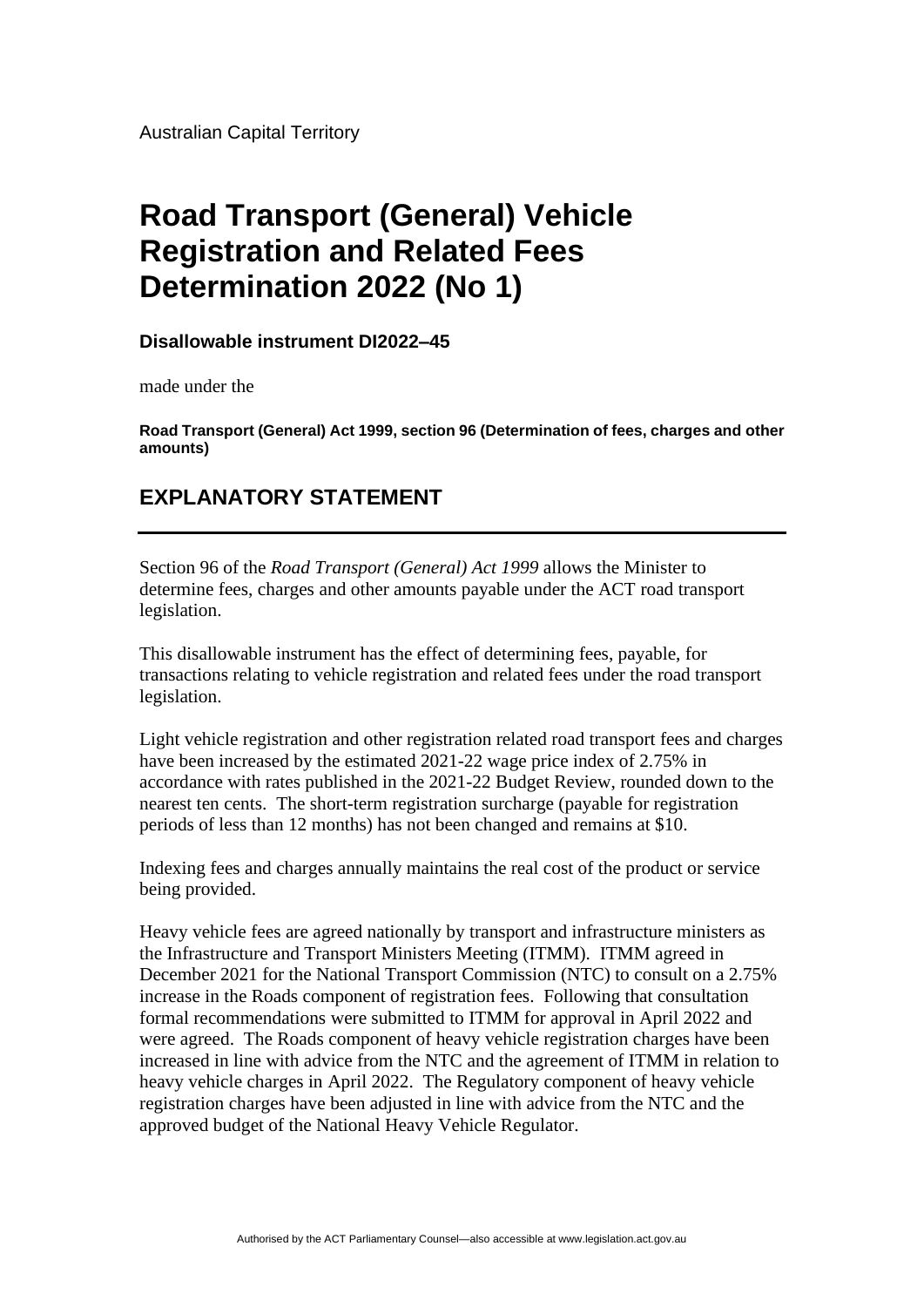Australian Capital Territory

## **Road Transport (General) Vehicle Registration and Related Fees Determination 2022 (No 1)**

**Disallowable instrument DI2022–45**

made under the

**Road Transport (General) Act 1999, section 96 (Determination of fees, charges and other amounts)**

## **EXPLANATORY STATEMENT**

Section 96 of the *Road Transport (General) Act 1999* allows the Minister to determine fees, charges and other amounts payable under the ACT road transport legislation.

This disallowable instrument has the effect of determining fees, payable, for transactions relating to vehicle registration and related fees under the road transport legislation.

Light vehicle registration and other registration related road transport fees and charges have been increased by the estimated 2021-22 wage price index of 2.75% in accordance with rates published in the 2021-22 Budget Review, rounded down to the nearest ten cents. The short-term registration surcharge (payable for registration periods of less than 12 months) has not been changed and remains at \$10.

Indexing fees and charges annually maintains the real cost of the product or service being provided.

Heavy vehicle fees are agreed nationally by transport and infrastructure ministers as the Infrastructure and Transport Ministers Meeting (ITMM). ITMM agreed in December 2021 for the National Transport Commission (NTC) to consult on a 2.75% increase in the Roads component of registration fees. Following that consultation formal recommendations were submitted to ITMM for approval in April 2022 and were agreed. The Roads component of heavy vehicle registration charges have been increased in line with advice from the NTC and the agreement of ITMM in relation to heavy vehicle charges in April 2022. The Regulatory component of heavy vehicle registration charges have been adjusted in line with advice from the NTC and the approved budget of the National Heavy Vehicle Regulator.